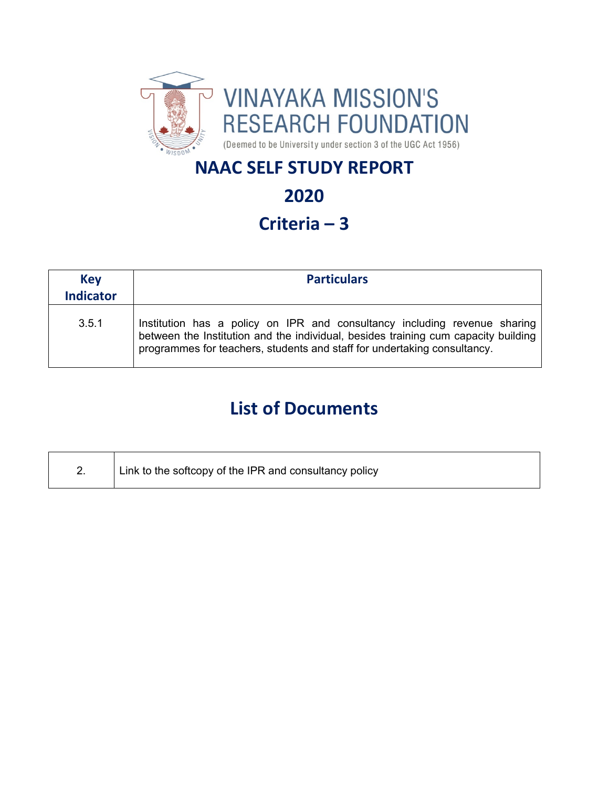

# **NAAC SELF STUDY REPORT**

# **2020**

# **Criteria – 3**

| <b>Key</b><br><b>Indicator</b> | <b>Particulars</b>                                                                                                                                                                                                                          |  |  |
|--------------------------------|---------------------------------------------------------------------------------------------------------------------------------------------------------------------------------------------------------------------------------------------|--|--|
| 3.5.1                          | Institution has a policy on IPR and consultancy including revenue sharing<br>between the Institution and the individual, besides training cum capacity building<br>programmes for teachers, students and staff for undertaking consultancy. |  |  |

# **List of Documents**

| Ζ. | Link to the softcopy of the IPR and consultancy policy |
|----|--------------------------------------------------------|
|    |                                                        |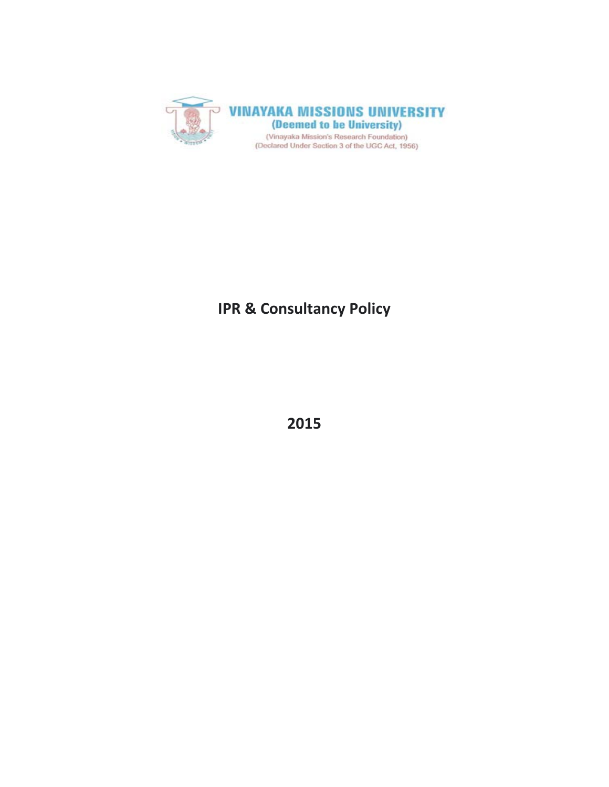

# **IPR & Consultancy Policy**

**2015**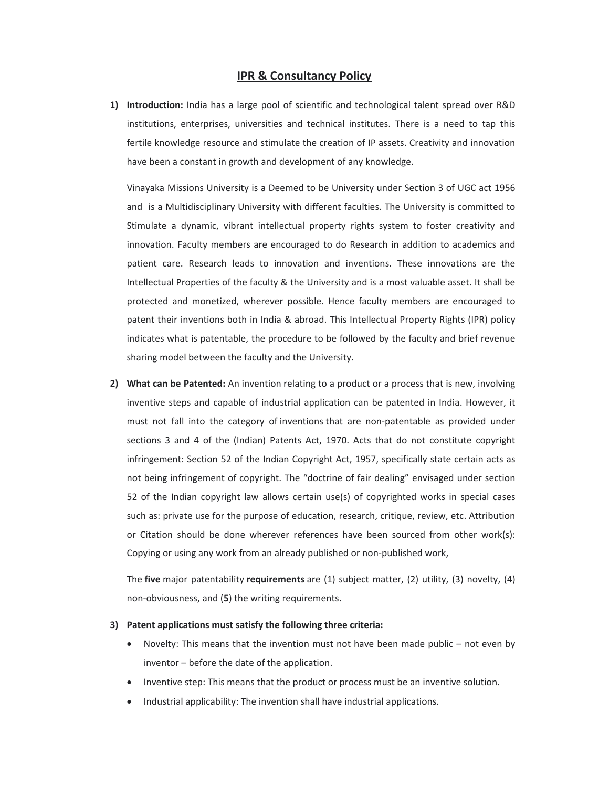#### **IPR & Consultancy Policy**

**1) Introduction:** India has a large pool of scientific and technological talent spread over R&D institutions, enterprises, universities and technical institutes. There is a need to tap this fertile knowledge resource and stimulate the creation of IP assets. Creativity and innovation have been a constant in growth and development of any knowledge.

Vinayaka Missions University is a Deemed to be University under Section 3 of UGC act 1956 and is a Multidisciplinary University with different faculties. The University is committed to Stimulate a dynamic, vibrant intellectual property rights system to foster creativity and innovation. Faculty members are encouraged to do Research in addition to academics and patient care. Research leads to innovation and inventions. These innovations are the Intellectual Properties of the faculty & the University and is a most valuable asset. It shall be protected and monetized, wherever possible. Hence faculty members are encouraged to patent their inventions both in India & abroad. This Intellectual Property Rights (IPR) policy indicates what is patentable, the procedure to be followed by the faculty and brief revenue sharing model between the faculty and the University.

**2) What can be Patented:** An invention relating to a product or a process that is new, involving inventive steps and capable of industrial application can be patented in India. However, it must not fall into the category of inventions that are non-patentable as provided under sections 3 and 4 of the (Indian) Patents Act, 1970. Acts that do not constitute copyright infringement: Section 52 of the Indian Copyright Act, 1957, specifically state certain acts as not being infringement of copyright. The "doctrine of fair dealing" envisaged under section 52 of the Indian copyright law allows certain use(s) of copyrighted works in special cases such as: private use for the purpose of education, research, critique, review, etc. Attribution or Citation should be done wherever references have been sourced from other work(s): Copying or using any work from an already published or non‐published work,

The **five** major patentability **requirements** are (1) subject matter, (2) utility, (3) novelty, (4) non‐obviousness, and (**5**) the writing requirements.

#### **3) Patent applications must satisfy the following three criteria:**

- Novelty: This means that the invention must not have been made public not even by inventor – before the date of the application.
- Inventive step: This means that the product or process must be an inventive solution.
- Industrial applicability: The invention shall have industrial applications.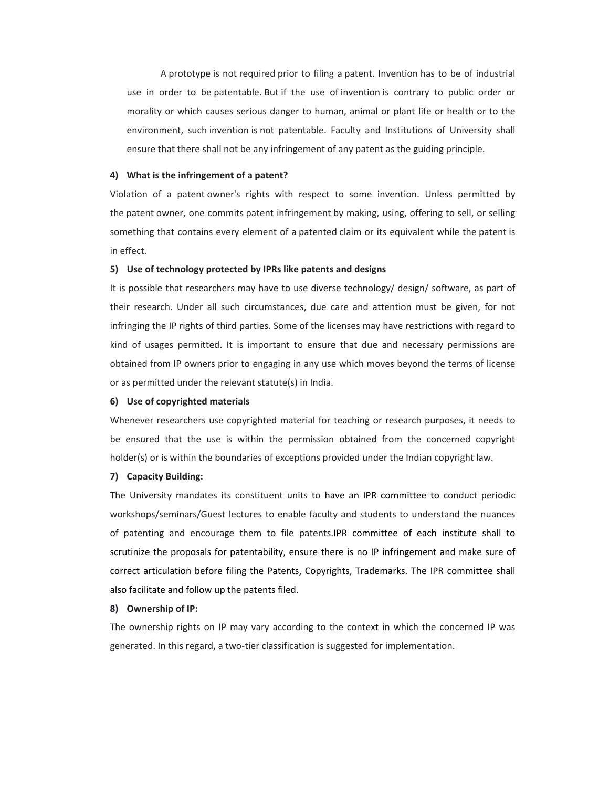A prototype is not required prior to filing a patent. Invention has to be of industrial use in order to be patentable. But if the use of invention is contrary to public order or morality or which causes serious danger to human, animal or plant life or health or to the environment, such invention is not patentable. Faculty and Institutions of University shall ensure that there shall not be any infringement of any patent as the guiding principle.

#### **4) What is the infringement of a patent?**

Violation of a patent owner's rights with respect to some invention. Unless permitted by the patent owner, one commits patent infringement by making, using, offering to sell, or selling something that contains every element of a patented claim or its equivalent while the patent is in effect.

#### **5) Use of technology protected by IPRs like patents and designs**

It is possible that researchers may have to use diverse technology/ design/ software, as part of their research. Under all such circumstances, due care and attention must be given, for not infringing the IP rights of third parties. Some of the licenses may have restrictions with regard to kind of usages permitted. It is important to ensure that due and necessary permissions are obtained from IP owners prior to engaging in any use which moves beyond the terms of license or as permitted under the relevant statute(s) in India.

#### **6) Use of copyrighted materials**

Whenever researchers use copyrighted material for teaching or research purposes, it needs to be ensured that the use is within the permission obtained from the concerned copyright holder(s) or is within the boundaries of exceptions provided under the Indian copyright law.

#### **7) Capacity Building:**

The University mandates its constituent units to have an IPR committee to conduct periodic workshops/seminars/Guest lectures to enable faculty and students to understand the nuances of patenting and encourage them to file patents.IPR committee of each institute shall to scrutinize the proposals for patentability, ensure there is no IP infringement and make sure of correct articulation before filing the Patents, Copyrights, Trademarks. The IPR committee shall also facilitate and follow up the patents filed.

#### **8) Ownership of IP:**

The ownership rights on IP may vary according to the context in which the concerned IP was generated. In this regard, a two-tier classification is suggested for implementation.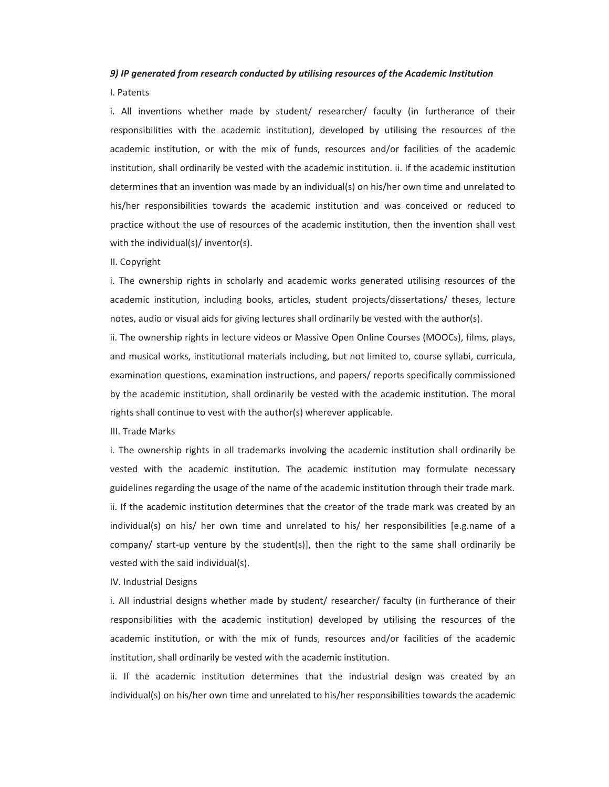#### *9) IP generated from research conducted by utilising resources of the Academic Institution*

#### I. Patents

i. All inventions whether made by student/ researcher/ faculty (in furtherance of their responsibilities with the academic institution), developed by utilising the resources of the academic institution, or with the mix of funds, resources and/or facilities of the academic institution, shall ordinarily be vested with the academic institution. ii. If the academic institution determines that an invention was made by an individual(s) on his/her own time and unrelated to his/her responsibilities towards the academic institution and was conceived or reduced to practice without the use of resources of the academic institution, then the invention shall vest with the individual(s)/ inventor(s).

#### II. Copyright

i. The ownership rights in scholarly and academic works generated utilising resources of the academic institution, including books, articles, student projects/dissertations/ theses, lecture notes, audio or visual aids for giving lectures shall ordinarily be vested with the author(s).

ii. The ownership rights in lecture videos or Massive Open Online Courses (MOOCs), films, plays, and musical works, institutional materials including, but not limited to, course syllabi, curricula, examination questions, examination instructions, and papers/ reports specifically commissioned by the academic institution, shall ordinarily be vested with the academic institution. The moral rights shall continue to vest with the author(s) wherever applicable.

III. Trade Marks

i. The ownership rights in all trademarks involving the academic institution shall ordinarily be vested with the academic institution. The academic institution may formulate necessary guidelines regarding the usage of the name of the academic institution through their trade mark. ii. If the academic institution determines that the creator of the trade mark was created by an individual(s) on his/ her own time and unrelated to his/ her responsibilities [e.g.name of a company/ start-up venture by the student(s)], then the right to the same shall ordinarily be vested with the said individual(s).

IV. Industrial Designs

i. All industrial designs whether made by student/ researcher/ faculty (in furtherance of their responsibilities with the academic institution) developed by utilising the resources of the academic institution, or with the mix of funds, resources and/or facilities of the academic institution, shall ordinarily be vested with the academic institution.

ii. If the academic institution determines that the industrial design was created by an individual(s) on his/her own time and unrelated to his/her responsibilities towards the academic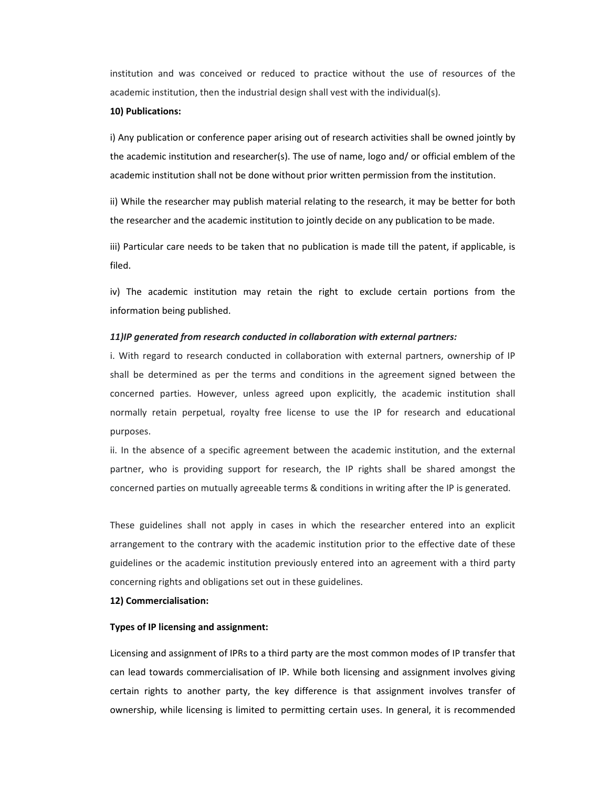institution and was conceived or reduced to practice without the use of resources of the academic institution, then the industrial design shall vest with the individual(s).

#### **10) Publications:**

i) Any publication or conference paper arising out of research activities shall be owned jointly by the academic institution and researcher(s). The use of name, logo and/ or official emblem of the academic institution shall not be done without prior written permission from the institution.

ii) While the researcher may publish material relating to the research, it may be better for both the researcher and the academic institution to jointly decide on any publication to be made.

iii) Particular care needs to be taken that no publication is made till the patent, if applicable, is filed.

iv) The academic institution may retain the right to exclude certain portions from the information being published.

#### *11)IP generated from research conducted in collaboration with external partners:*

i. With regard to research conducted in collaboration with external partners, ownership of IP shall be determined as per the terms and conditions in the agreement signed between the concerned parties. However, unless agreed upon explicitly, the academic institution shall normally retain perpetual, royalty free license to use the IP for research and educational purposes.

ii. In the absence of a specific agreement between the academic institution, and the external partner, who is providing support for research, the IP rights shall be shared amongst the concerned parties on mutually agreeable terms & conditions in writing after the IP is generated.

These guidelines shall not apply in cases in which the researcher entered into an explicit arrangement to the contrary with the academic institution prior to the effective date of these guidelines or the academic institution previously entered into an agreement with a third party concerning rights and obligations set out in these guidelines.

#### **12) Commercialisation:**

#### **Types of IP licensing and assignment:**

Licensing and assignment of IPRs to a third party are the most common modes of IP transfer that can lead towards commercialisation of IP. While both licensing and assignment involves giving certain rights to another party, the key difference is that assignment involves transfer of ownership, while licensing is limited to permitting certain uses. In general, it is recommended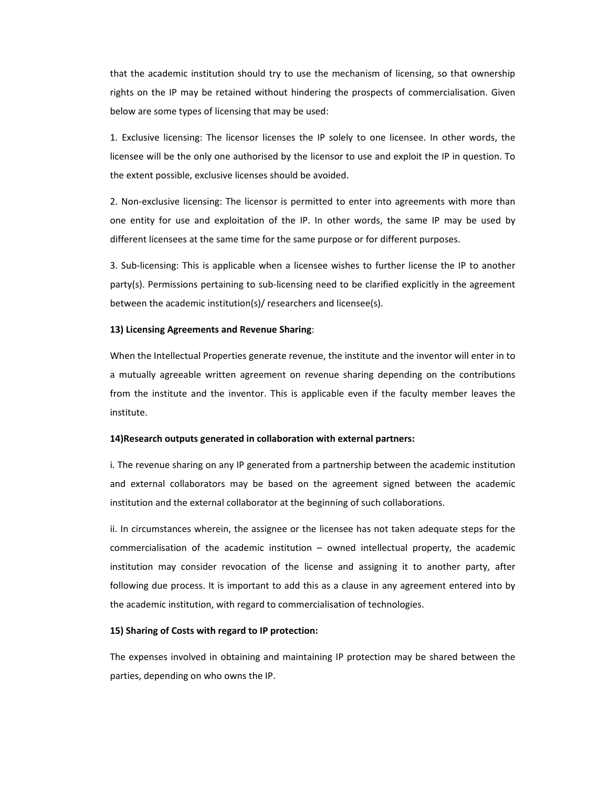that the academic institution should try to use the mechanism of licensing, so that ownership rights on the IP may be retained without hindering the prospects of commercialisation. Given below are some types of licensing that may be used:

1. Exclusive licensing: The licensor licenses the IP solely to one licensee. In other words, the licensee will be the only one authorised by the licensor to use and exploit the IP in question. To the extent possible, exclusive licenses should be avoided.

2. Non-exclusive licensing: The licensor is permitted to enter into agreements with more than one entity for use and exploitation of the IP. In other words, the same IP may be used by different licensees at the same time for the same purpose or for different purposes.

3. Sub‐licensing: This is applicable when a licensee wishes to further license the IP to another party(s). Permissions pertaining to sub-licensing need to be clarified explicitly in the agreement between the academic institution(s)/ researchers and licensee(s).

#### **13) Licensing Agreements and Revenue Sharing**:

When the Intellectual Properties generate revenue, the institute and the inventor will enter in to a mutually agreeable written agreement on revenue sharing depending on the contributions from the institute and the inventor. This is applicable even if the faculty member leaves the institute.

#### **14)Research outputs generated in collaboration with external partners:**

i. The revenue sharing on any IP generated from a partnership between the academic institution and external collaborators may be based on the agreement signed between the academic institution and the external collaborator at the beginning of such collaborations.

ii. In circumstances wherein, the assignee or the licensee has not taken adequate steps for the commercialisation of the academic institution – owned intellectual property, the academic institution may consider revocation of the license and assigning it to another party, after following due process. It is important to add this as a clause in any agreement entered into by the academic institution, with regard to commercialisation of technologies.

#### **15) Sharing of Costs with regard to IP protection:**

The expenses involved in obtaining and maintaining IP protection may be shared between the parties, depending on who owns the IP.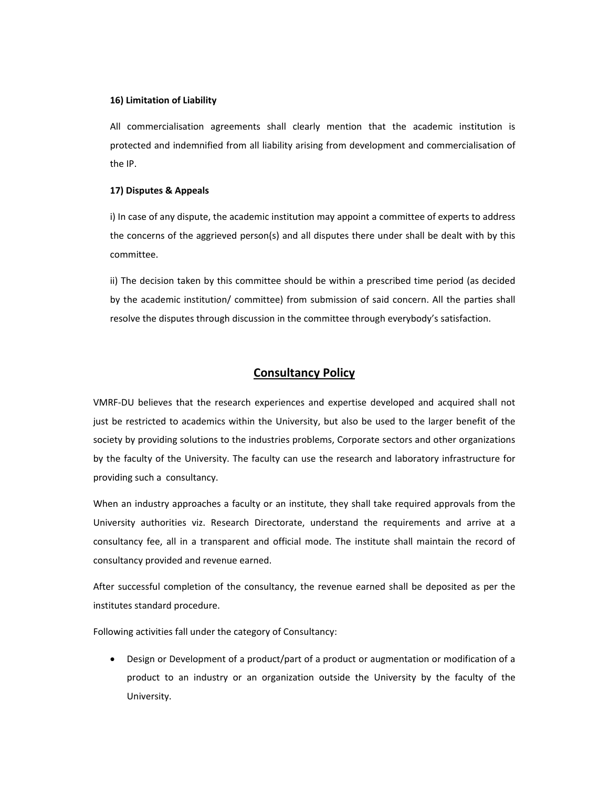#### **16) Limitation of Liability**

All commercialisation agreements shall clearly mention that the academic institution is protected and indemnified from all liability arising from development and commercialisation of the IP.

#### **17) Disputes & Appeals**

i) In case of any dispute, the academic institution may appoint a committee of experts to address the concerns of the aggrieved person(s) and all disputes there under shall be dealt with by this committee.

ii) The decision taken by this committee should be within a prescribed time period (as decided by the academic institution/ committee) from submission of said concern. All the parties shall resolve the disputes through discussion in the committee through everybody's satisfaction.

#### **Consultancy Policy**

VMRF‐DU believes that the research experiences and expertise developed and acquired shall not just be restricted to academics within the University, but also be used to the larger benefit of the society by providing solutions to the industries problems, Corporate sectors and other organizations by the faculty of the University. The faculty can use the research and laboratory infrastructure for providing such a consultancy.

When an industry approaches a faculty or an institute, they shall take required approvals from the University authorities viz. Research Directorate, understand the requirements and arrive at a consultancy fee, all in a transparent and official mode. The institute shall maintain the record of consultancy provided and revenue earned.

After successful completion of the consultancy, the revenue earned shall be deposited as per the institutes standard procedure.

Following activities fall under the category of Consultancy:

 Design or Development of a product/part of a product or augmentation or modification of a product to an industry or an organization outside the University by the faculty of the University.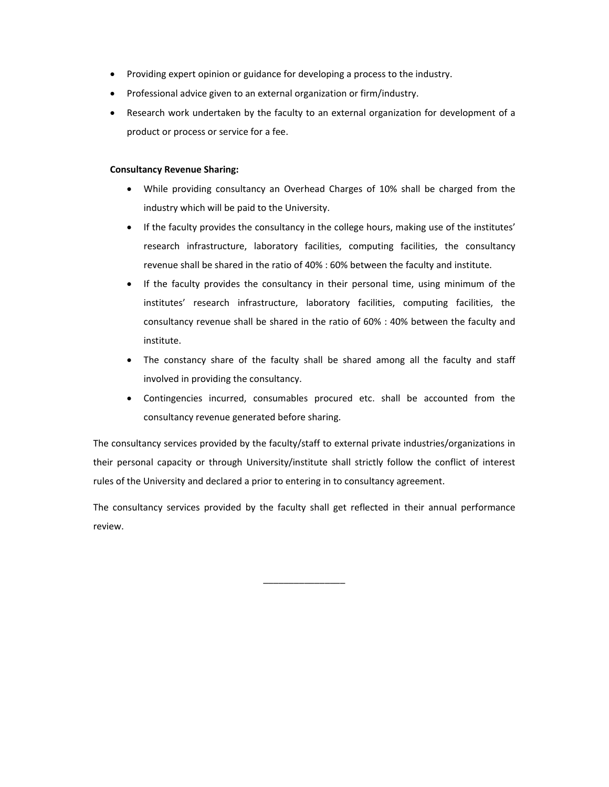- Providing expert opinion or guidance for developing a process to the industry.
- Professional advice given to an external organization or firm/industry.
- Research work undertaken by the faculty to an external organization for development of a product or process or service for a fee.

#### **Consultancy Revenue Sharing:**

- While providing consultancy an Overhead Charges of 10% shall be charged from the industry which will be paid to the University.
- If the faculty provides the consultancy in the college hours, making use of the institutes' research infrastructure, laboratory facilities, computing facilities, the consultancy revenue shall be shared in the ratio of 40% : 60% between the faculty and institute.
- If the faculty provides the consultancy in their personal time, using minimum of the institutes' research infrastructure, laboratory facilities, computing facilities, the consultancy revenue shall be shared in the ratio of 60% : 40% between the faculty and institute.
- The constancy share of the faculty shall be shared among all the faculty and staff involved in providing the consultancy.
- Contingencies incurred, consumables procured etc. shall be accounted from the consultancy revenue generated before sharing.

The consultancy services provided by the faculty/staff to external private industries/organizations in their personal capacity or through University/institute shall strictly follow the conflict of interest rules of the University and declared a prior to entering in to consultancy agreement.

The consultancy services provided by the faculty shall get reflected in their annual performance review.

\_\_\_\_\_\_\_\_\_\_\_\_\_\_\_\_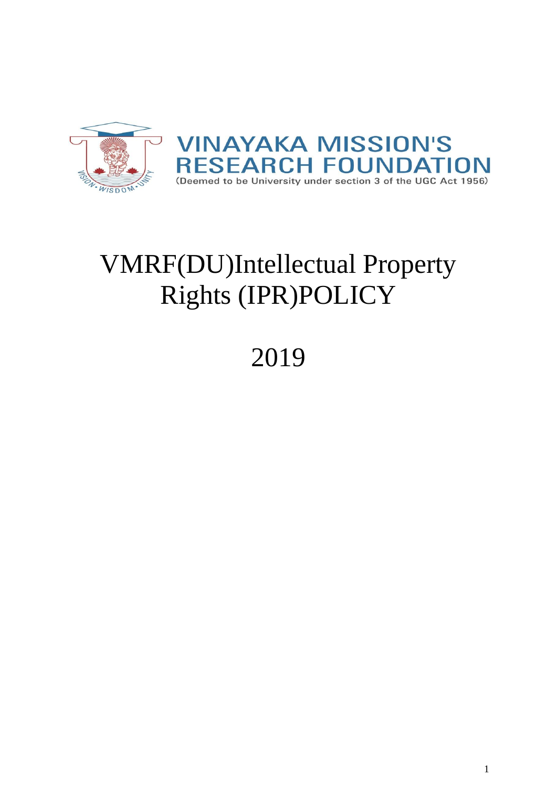

# VMRF(DU)Intellectual Property Rights (IPR)POLICY

# 2019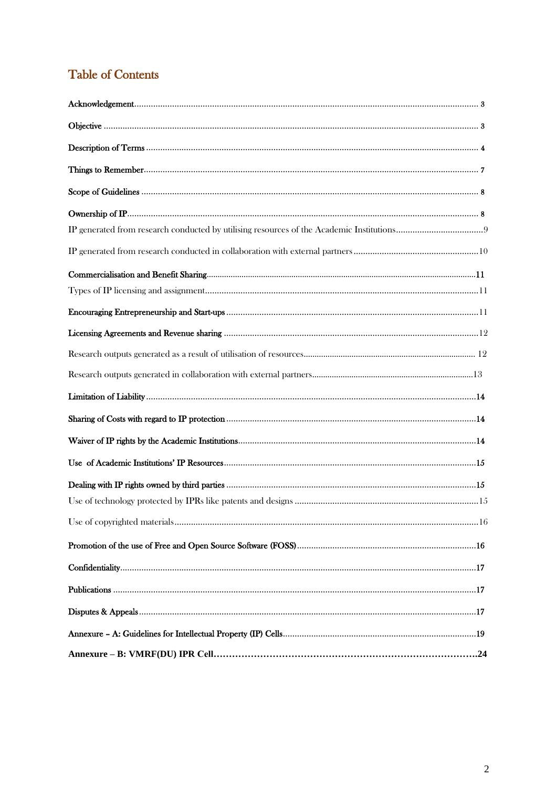# **Table of Contents**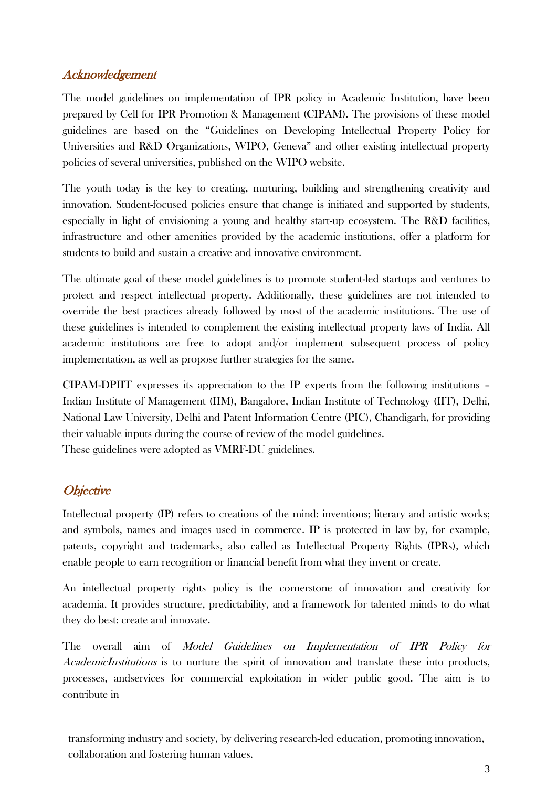## Acknowledgement

The model guidelines on implementation of IPR policy in Academic Institution, have been prepared by Cell for IPR Promotion & Management (CIPAM). The provisions of these model guidelines are based on the "Guidelines on Developing Intellectual Property Policy for Universities and R&D Organizations, WIPO, Geneva" and other existing intellectual property policies of several universities, published on the WIPO website.

The youth today is the key to creating, nurturing, building and strengthening creativity and innovation. Student-focused policies ensure that change is initiated and supported by students, especially in light of envisioning a young and healthy start-up ecosystem. The R&D facilities, infrastructure and other amenities provided by the academic institutions, offer a platform for students to build and sustain a creative and innovative environment.

The ultimate goal of these model guidelines is to promote student-led startups and ventures to protect and respect intellectual property. Additionally, these guidelines are not intended to override the best practices already followed by most of the academic institutions. The use of these guidelines is intended to complement the existing intellectual property laws of India. All academic institutions are free to adopt and/or implement subsequent process of policy implementation, as well as propose further strategies for the same.

CIPAM-DPIIT expresses its appreciation to the IP experts from the following institutions – Indian Institute of Management (IIM), Bangalore, Indian Institute of Technology (IIT), Delhi, National Law University, Delhi and Patent Information Centre (PIC), Chandigarh, for providing their valuable inputs during the course of review of the model guidelines. These guidelines were adopted as VMRF-DU guidelines.

## **Objective**

Intellectual property (IP) refers to creations of the mind: inventions; literary and artistic works; and symbols, names and images used in commerce. IP is protected in law by, for example, patents, copyright and trademarks, also called as Intellectual Property Rights (IPRs), which enable people to earn recognition or financial benefit from what they invent or create.

An intellectual property rights policy is the cornerstone of innovation and creativity for academia. It provides structure, predictability, and a framework for talented minds to do what they do best: create and innovate.

The overall aim of Model Guidelines on Implementation of IPR Policy for AcademicInstitutions is to nurture the spirit of innovation and translate these into products, processes, andservices for commercial exploitation in wider public good. The aim is to contribute in

transforming industry and society, by delivering research-led education, promoting innovation, collaboration and fostering human values.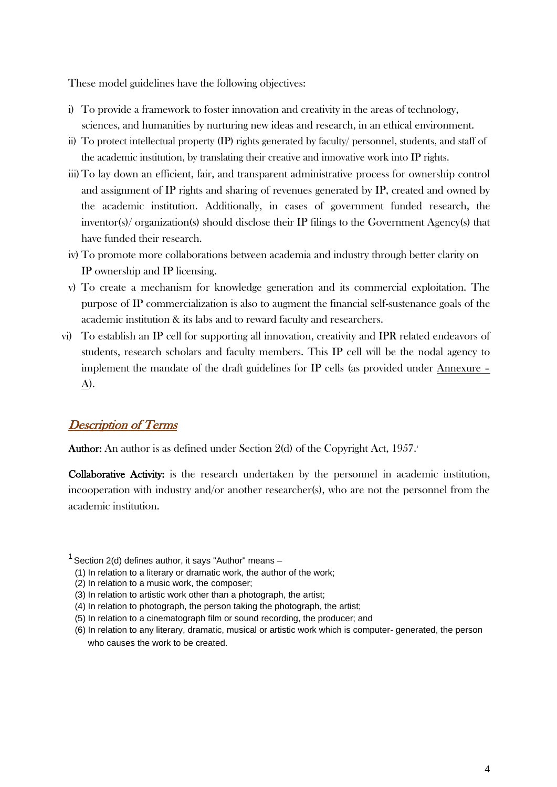These model guidelines have the following objectives:

- i) To provide a framework to foster innovation and creativity in the areas of technology, sciences, and humanities by nurturing new ideas and research, in an ethical environment.
- ii) To protect intellectual property (IP) rights generated by faculty/ personnel, students, and staff of the academic institution, by translating their creative and innovative work into IP rights.
- iii)To lay down an efficient, fair, and transparent administrative process for ownership control and assignment of IP rights and sharing of revenues generated by IP, created and owned by the academic institution. Additionally, in cases of government funded research, the inventor(s)/ organization(s) should disclose their IP filings to the Government Agency(s) that have funded their research.
- iv) To promote more collaborations between academia and industry through better clarity on IP ownership and IP licensing.
- v) To create a mechanism for knowledge generation and its commercial exploitation. The purpose of IP commercialization is also to augment the financial self-sustenance goals of the academic institution & its labs and to reward faculty and researchers.
- vi) To establish an IP cell for supporting all innovation, creativity and IPR related endeavors of students, research scholars and faculty members. This IP cell will be the nodal agency to implement the mandate of the draft guidelines for IP cells (as provided under Annexure – A).

## Description of Terms

**Author:** An author is as defined under Section 2(d) of the Copyright Act,  $1957$ .

Collaborative Activity: is the research undertaken by the personnel in academic institution, incooperation with industry and/or another researcher(s), who are not the personnel from the academic institution.

- (3) In relation to artistic work other than a photograph, the artist;
- (4) In relation to photograph, the person taking the photograph, the artist;
- (5) In relation to a cinematograph film or sound recording, the producer; and
- (6) In relation to any literary, dramatic, musical or artistic work which is computer- generated, the person who causes the work to be created.

 $1$  Section 2(d) defines author, it says "Author" means  $-$ 

<sup>(1)</sup> In relation to a literary or dramatic work, the author of the work;

<sup>(2)</sup> In relation to a music work, the composer;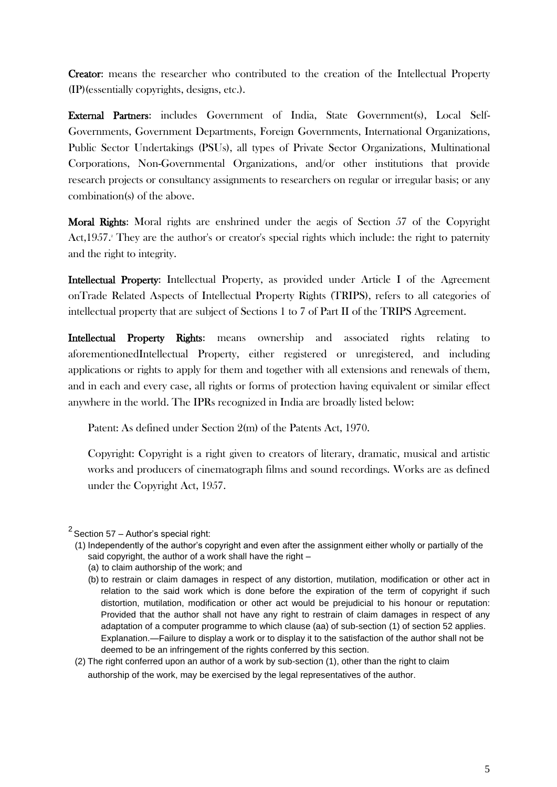Creator: means the researcher who contributed to the creation of the Intellectual Property (IP)(essentially copyrights, designs, etc.).

External Partners: includes Government of India, State Government(s), Local Self-Governments, Government Departments, Foreign Governments, International Organizations, Public Sector Undertakings (PSUs), all types of Private Sector Organizations, Multinational Corporations, Non-Governmental Organizations, and/or other institutions that provide research projects or consultancy assignments to researchers on regular or irregular basis; or any combination(s) of the above.

Moral Rights: Moral rights are enshrined under the aegis of Section 57 of the Copyright Act, 1957.<sup>2</sup> They are the author's or creator's special rights which include: the right to paternity and the right to integrity.

Intellectual Property: Intellectual Property, as provided under Article I of the Agreement onTrade Related Aspects of Intellectual Property Rights (TRIPS), refers to all categories of intellectual property that are subject of Sections 1 to 7 of Part II of the TRIPS Agreement.

Intellectual Property Rights: means ownership and associated rights relating to aforementionedIntellectual Property, either registered or unregistered, and including applications or rights to apply for them and together with all extensions and renewals of them, and in each and every case, all rights or forms of protection having equivalent or similar effect anywhere in the world. The IPRs recognized in India are broadly listed below:

Patent: As defined under Section 2(m) of the Patents Act, 1970.

Copyright: Copyright is a right given to creators of literary, dramatic, musical and artistic works and producers of cinematograph films and sound recordings. Works are as defined under the Copyright Act, 1957.

- (1) Independently of the author's copyright and even after the assignment either wholly or partially of the said copyright, the author of a work shall have the right –
	- (a) to claim authorship of the work; and
	- (b) to restrain or claim damages in respect of any distortion, mutilation, modification or other act in relation to the said work which is done before the expiration of the term of copyright if such distortion, mutilation, modification or other act would be prejudicial to his honour or reputation: Provided that the author shall not have any right to restrain of claim damages in respect of any adaptation of a computer programme to which clause (aa) of sub-section (1) of section 52 applies. Explanation.—Failure to display a work or to display it to the satisfaction of the author shall not be deemed to be an infringement of the rights conferred by this section.
- (2) The right conferred upon an author of a work by sub-section (1), other than the right to claim authorship of the work, may be exercised by the legal representatives of the author.

 $2$  Section 57 – Author's special right: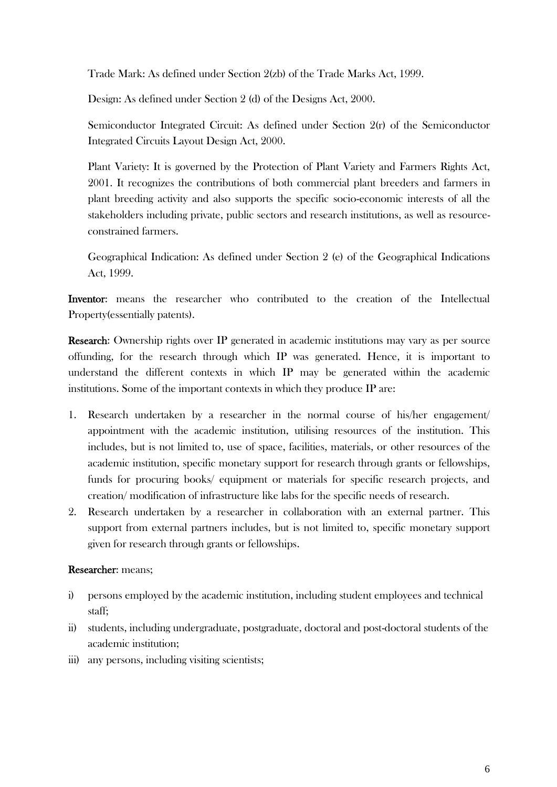Trade Mark: As defined under Section 2(zb) of the Trade Marks Act, 1999.

Design: As defined under Section 2 (d) of the Designs Act, 2000.

Semiconductor Integrated Circuit: As defined under Section 2(r) of the Semiconductor Integrated Circuits Layout Design Act, 2000.

Plant Variety: It is governed by the Protection of Plant Variety and Farmers Rights Act, 2001. It recognizes the contributions of both commercial plant breeders and farmers in plant breeding activity and also supports the specific socio-economic interests of all the stakeholders including private, public sectors and research institutions, as well as resourceconstrained farmers.

Geographical Indication: As defined under Section 2 (e) of the Geographical Indications Act, 1999.

Inventor: means the researcher who contributed to the creation of the Intellectual Property(essentially patents).

Research: Ownership rights over IP generated in academic institutions may vary as per source offunding, for the research through which IP was generated. Hence, it is important to understand the different contexts in which IP may be generated within the academic institutions. Some of the important contexts in which they produce IP are:

- 1. Research undertaken by a researcher in the normal course of his/her engagement/ appointment with the academic institution, utilising resources of the institution. This includes, but is not limited to, use of space, facilities, materials, or other resources of the academic institution, specific monetary support for research through grants or fellowships, funds for procuring books/ equipment or materials for specific research projects, and creation/ modification of infrastructure like labs for the specific needs of research.
- 2. Research undertaken by a researcher in collaboration with an external partner. This support from external partners includes, but is not limited to, specific monetary support given for research through grants or fellowships.

#### Researcher: means;

- i) persons employed by the academic institution, including student employees and technical staff;
- ii) students, including undergraduate, postgraduate, doctoral and post-doctoral students of the academic institution;
- iii) any persons, including visiting scientists;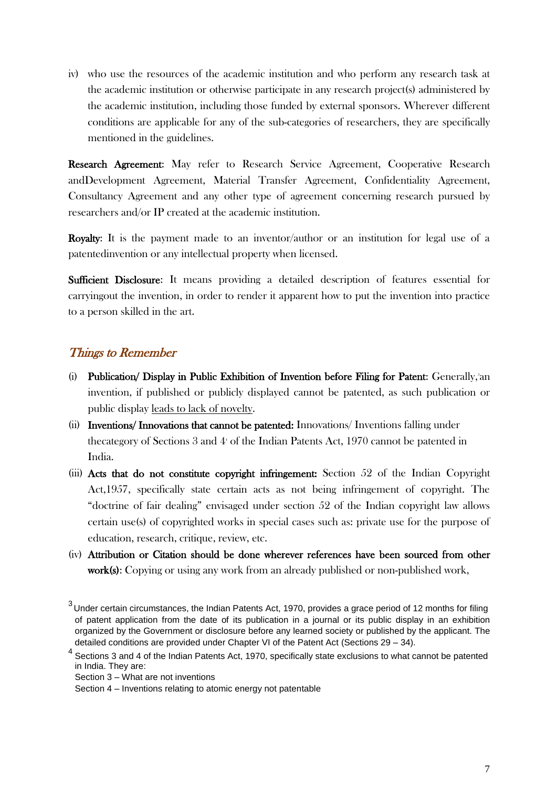iv) who use the resources of the academic institution and who perform any research task at the academic institution or otherwise participate in any research project(s) administered by the academic institution, including those funded by external sponsors. Wherever different conditions are applicable for any of the sub-categories of researchers, they are specifically mentioned in the guidelines.

Research Agreement: May refer to Research Service Agreement, Cooperative Research andDevelopment Agreement, Material Transfer Agreement, Confidentiality Agreement, Consultancy Agreement and any other type of agreement concerning research pursued by researchers and/or IP created at the academic institution.

Royalty: It is the payment made to an inventor/author or an institution for legal use of a patentedinvention or any intellectual property when licensed.

Sufficient Disclosure: It means providing a detailed description of features essential for carryingout the invention, in order to render it apparent how to put the invention into practice to a person skilled in the art.

#### Things to Remember

- (i) Publication/ Display in Public Exhibition of Invention before Filing for Patent: Generally,<sup>3</sup>an invention, if published or publicly displayed cannot be patented, as such publication or public display leads to lack of novelty.
- (ii) Inventions/ Innovations that cannot be patented: Innovations/ Inventions falling under the category of Sections 3 and  $4<sup>i</sup>$  of the Indian Patents Act, 1970 cannot be patented in India.
- (iii) Acts that do not constitute copyright infringement: Section 52 of the Indian Copyright Act,1957, specifically state certain acts as not being infringement of copyright. The "doctrine of fair dealing" envisaged under section 52 of the Indian copyright law allows certain use(s) of copyrighted works in special cases such as: private use for the purpose of education, research, critique, review, etc.
- (iv) Attribution or Citation should be done wherever references have been sourced from other work(s): Copying or using any work from an already published or non-published work,

 $^3$ Under certain circumstances, the Indian Patents Act, 1970, provides a grace period of 12 months for filing of patent application from the date of its publication in a journal or its public display in an exhibition organized by the Government or disclosure before any learned society or published by the applicant. The detailed conditions are provided under Chapter VI of the Patent Act (Sections 29 – 34).

 $4$  Sections 3 and 4 of the Indian Patents Act, 1970, specifically state exclusions to what cannot be patented in India. They are:

Section 3 – What are not inventions

Section 4 – Inventions relating to atomic energy not patentable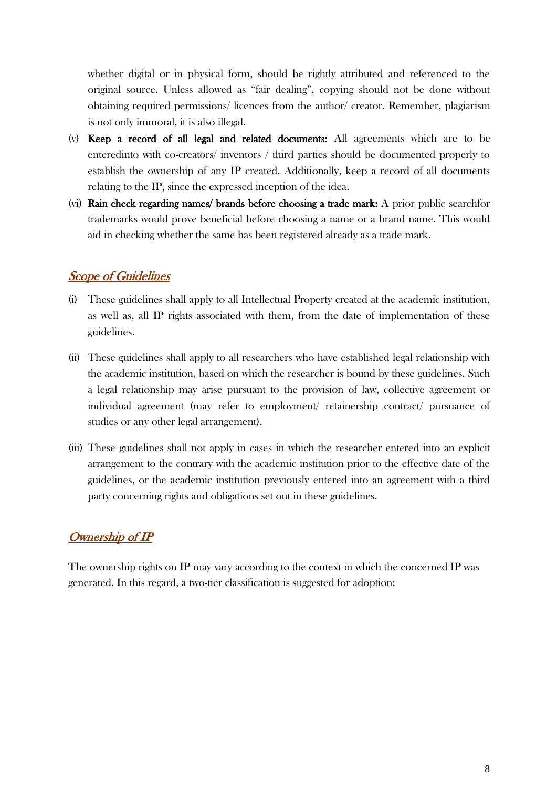whether digital or in physical form, should be rightly attributed and referenced to the original source. Unless allowed as "fair dealing", copying should not be done without obtaining required permissions/ licences from the author/ creator. Remember, plagiarism is not only immoral, it is also illegal.

- (v) Keep a record of all legal and related documents: All agreements which are to be enteredinto with co-creators/ inventors / third parties should be documented properly to establish the ownership of any IP created. Additionally, keep a record of all documents relating to the IP, since the expressed inception of the idea.
- (vi) Rain check regarding names/ brands before choosing a trade mark: A prior public searchfor trademarks would prove beneficial before choosing a name or a brand name. This would aid in checking whether the same has been registered already as a trade mark.

## Scope of Guidelines

- (i) These guidelines shall apply to all Intellectual Property created at the academic institution, as well as, all IP rights associated with them, from the date of implementation of these guidelines.
- (ii) These guidelines shall apply to all researchers who have established legal relationship with the academic institution, based on which the researcher is bound by these guidelines. Such a legal relationship may arise pursuant to the provision of law, collective agreement or individual agreement (may refer to employment/ retainership contract/ pursuance of studies or any other legal arrangement).
- (iii) These guidelines shall not apply in cases in which the researcher entered into an explicit arrangement to the contrary with the academic institution prior to the effective date of the guidelines, or the academic institution previously entered into an agreement with a third party concerning rights and obligations set out in these guidelines.

## Ownership of IP

The ownership rights on IP may vary according to the context in which the concerned IP was generated. In this regard, a two-tier classification is suggested for adoption: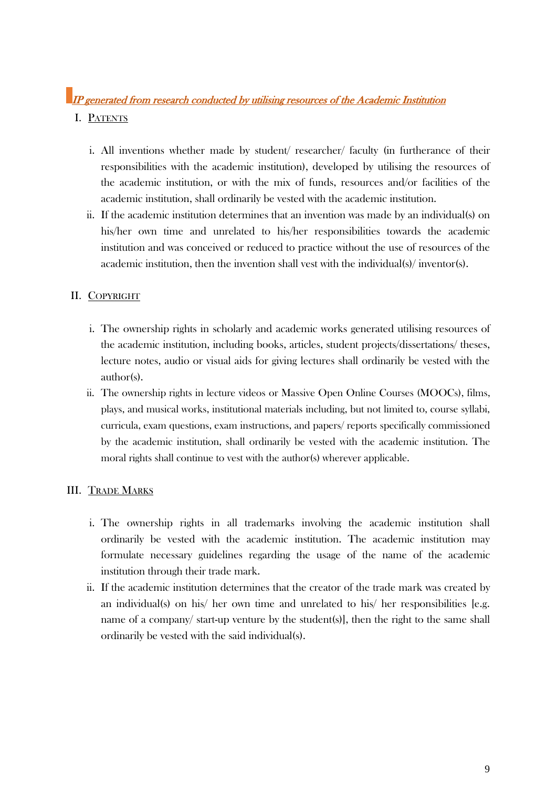## IP generated from research conducted by utilising resources of the Academic Institution

#### I. PATENTS

- i. All inventions whether made by student/ researcher/ faculty (in furtherance of their responsibilities with the academic institution), developed by utilising the resources of the academic institution, or with the mix of funds, resources and/or facilities of the academic institution, shall ordinarily be vested with the academic institution.
- ii. If the academic institution determines that an invention was made by an individual(s) on his/her own time and unrelated to his/her responsibilities towards the academic institution and was conceived or reduced to practice without the use of resources of the academic institution, then the invention shall vest with the individual(s)/ inventor(s).

#### II. COPYRIGHT

- i. The ownership rights in scholarly and academic works generated utilising resources of the academic institution, including books, articles, student projects/dissertations/ theses, lecture notes, audio or visual aids for giving lectures shall ordinarily be vested with the author(s).
- ii. The ownership rights in lecture videos or Massive Open Online Courses (MOOCs), films, plays, and musical works, institutional materials including, but not limited to, course syllabi, curricula, exam questions, exam instructions, and papers/ reports specifically commissioned by the academic institution, shall ordinarily be vested with the academic institution. The moral rights shall continue to vest with the author(s) wherever applicable.

#### III. TRADE MARKS

- i. The ownership rights in all trademarks involving the academic institution shall ordinarily be vested with the academic institution. The academic institution may formulate necessary guidelines regarding the usage of the name of the academic institution through their trade mark.
- ii. If the academic institution determines that the creator of the trade mark was created by an individual(s) on his/ her own time and unrelated to his/ her responsibilities [e.g. name of a company/ start-up venture by the student(s)], then the right to the same shall ordinarily be vested with the said individual(s).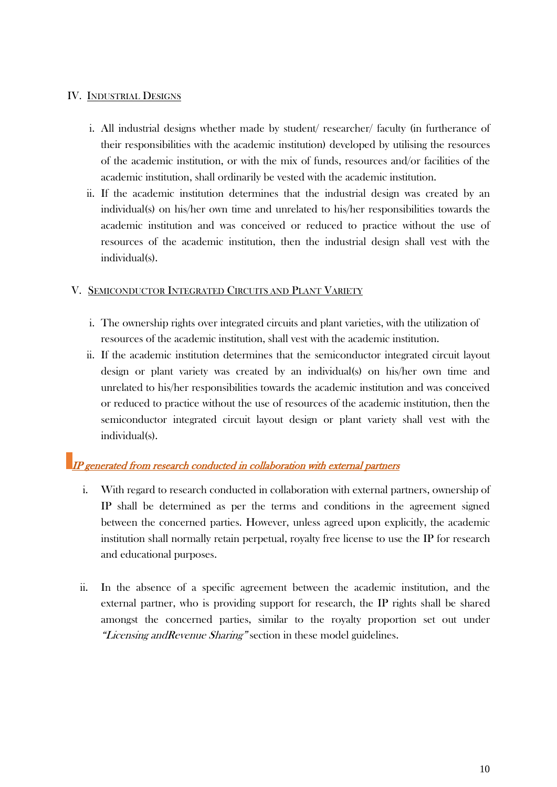#### IV. INDUSTRIAL DESIGNS

- i. All industrial designs whether made by student/ researcher/ faculty (in furtherance of their responsibilities with the academic institution) developed by utilising the resources of the academic institution, or with the mix of funds, resources and/or facilities of the academic institution, shall ordinarily be vested with the academic institution.
- ii. If the academic institution determines that the industrial design was created by an individual(s) on his/her own time and unrelated to his/her responsibilities towards the academic institution and was conceived or reduced to practice without the use of resources of the academic institution, then the industrial design shall vest with the individual(s).

#### V. SEMICONDUCTOR INTEGRATED CIRCUITS AND PLANT VARIETY

- i. The ownership rights over integrated circuits and plant varieties, with the utilization of resources of the academic institution, shall vest with the academic institution.
- ii. If the academic institution determines that the semiconductor integrated circuit layout design or plant variety was created by an individual(s) on his/her own time and unrelated to his/her responsibilities towards the academic institution and was conceived or reduced to practice without the use of resources of the academic institution, then the semiconductor integrated circuit layout design or plant variety shall vest with the individual(s).

## **IP** generated from research conducted in collaboration with external partners

- i. With regard to research conducted in collaboration with external partners, ownership of IP shall be determined as per the terms and conditions in the agreement signed between the concerned parties. However, unless agreed upon explicitly, the academic institution shall normally retain perpetual, royalty free license to use the IP for research and educational purposes.
- ii. In the absence of a specific agreement between the academic institution, and the external partner, who is providing support for research, the IP rights shall be shared amongst the concerned parties, similar to the royalty proportion set out under "Licensing and Revenue Sharing" section in these model guidelines.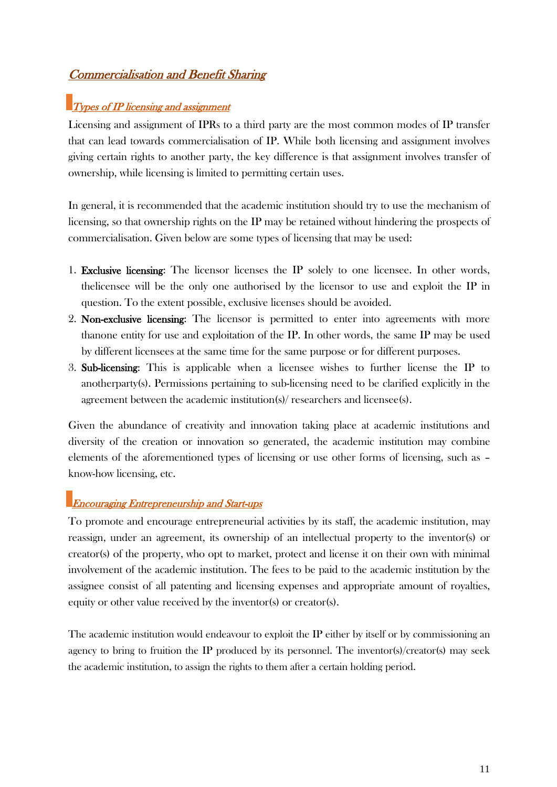## Commercialisation and Benefit Sharing

## $\blacksquare$ Types of IP licensing and assignment

Licensing and assignment of IPRs to a third party are the most common modes of IP transfer that can lead towards commercialisation of IP. While both licensing and assignment involves giving certain rights to another party, the key difference is that assignment involves transfer of ownership, while licensing is limited to permitting certain uses.

In general, it is recommended that the academic institution should try to use the mechanism of licensing, so that ownership rights on the IP may be retained without hindering the prospects of commercialisation. Given below are some types of licensing that may be used:

- 1. Exclusive licensing: The licensor licenses the IP solely to one licensee. In other words, thelicensee will be the only one authorised by the licensor to use and exploit the IP in question. To the extent possible, exclusive licenses should be avoided.
- 2. Non-exclusive licensing: The licensor is permitted to enter into agreements with more thanone entity for use and exploitation of the IP. In other words, the same IP may be used by different licensees at the same time for the same purpose or for different purposes.
- 3. Sub-licensing: This is applicable when a licensee wishes to further license the IP to anotherparty(s). Permissions pertaining to sub-licensing need to be clarified explicitly in the agreement between the academic institution(s)/ researchers and licensee(s).

Given the abundance of creativity and innovation taking place at academic institutions and diversity of the creation or innovation so generated, the academic institution may combine elements of the aforementioned types of licensing or use other forms of licensing, such as – know-how licensing, etc.

## Encouraging Entrepreneurship and Start-ups

To promote and encourage entrepreneurial activities by its staff, the academic institution, may reassign, under an agreement, its ownership of an intellectual property to the inventor(s) or creator(s) of the property, who opt to market, protect and license it on their own with minimal involvement of the academic institution. The fees to be paid to the academic institution by the assignee consist of all patenting and licensing expenses and appropriate amount of royalties, equity or other value received by the inventor(s) or creator(s).

The academic institution would endeavour to exploit the IP either by itself or by commissioning an agency to bring to fruition the IP produced by its personnel. The inventor(s)/creator(s) may seek the academic institution, to assign the rights to them after a certain holding period.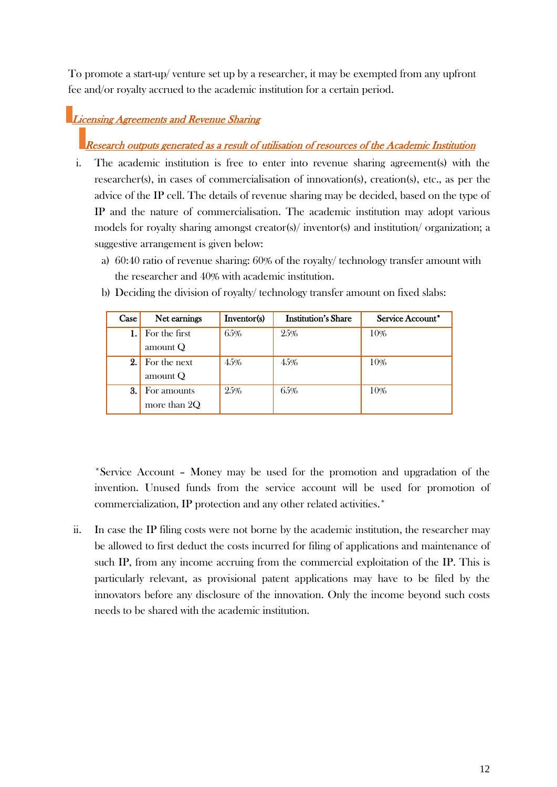To promote a start-up/ venture set up by a researcher, it may be exempted from any upfront fee and/or royalty accrued to the academic institution for a certain period.

## **Licensing Agreements and Revenue Sharing**

Research outputs generated as a result of utilisation of resources of the Academic Institution

- i. The academic institution is free to enter into revenue sharing agreement(s) with the researcher(s), in cases of commercialisation of innovation(s), creation(s), etc., as per the advice of the IP cell. The details of revenue sharing may be decided, based on the type of IP and the nature of commercialisation. The academic institution may adopt various models for royalty sharing amongst creator(s)/ inventor(s) and institution/ organization; a suggestive arrangement is given below:
	- a) 60:40 ratio of revenue sharing: 60% of the royalty/ technology transfer amount with the researcher and 40% with academic institution.

| Case | Net earnings  | Inventor(s) | <b>Institution's Share</b> | Service Account* |
|------|---------------|-------------|----------------------------|------------------|
|      | For the first | 65%         | 25%                        | 10%              |
|      | amount $Q$    |             |                            |                  |
| 2.   | For the next  | 45%         | 45%                        | 10%              |
|      | amount $Q$    |             |                            |                  |
| 3.   | For amounts   | 25%         | 65%                        | 10%              |
|      | more than 2Q  |             |                            |                  |

b) Deciding the division of royalty/ technology transfer amount on fixed slabs:

\*Service Account – Money may be used for the promotion and upgradation of the invention. Unused funds from the service account will be used for promotion of commercialization, IP protection and any other related activities.\*

ii. In case the IP filing costs were not borne by the academic institution, the researcher may be allowed to first deduct the costs incurred for filing of applications and maintenance of such IP, from any income accruing from the commercial exploitation of the IP. This is particularly relevant, as provisional patent applications may have to be filed by the innovators before any disclosure of the innovation. Only the income beyond such costs needs to be shared with the academic institution.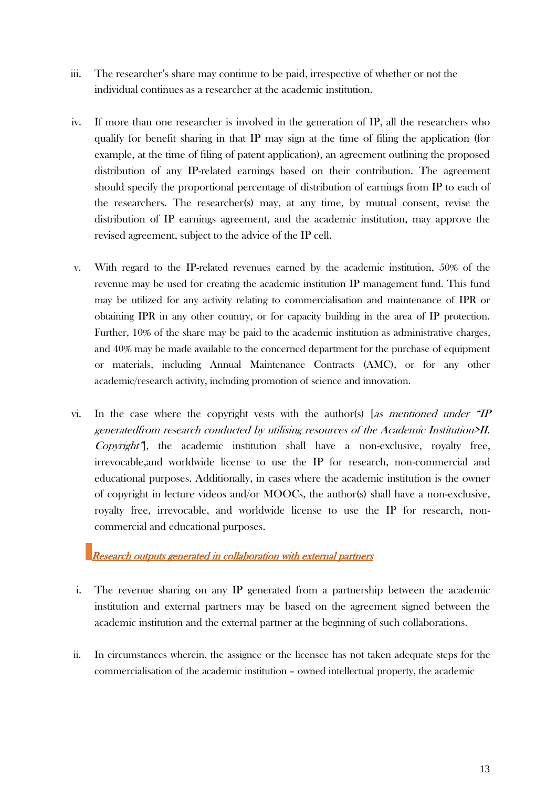- iii. The researcher"s share may continue to be paid, irrespective of whether or not the individual continues as a researcher at the academic institution.
- iv. If more than one researcher is involved in the generation of IP, all the researchers who qualify for benefit sharing in that IP may sign at the time of filing the application (for example, at the time of filing of patent application), an agreement outlining the proposed distribution of any IP-related earnings based on their contribution. The agreement should specify the proportional percentage of distribution of earnings from IP to each of the researchers. The researcher(s) may, at any time, by mutual consent, revise the distribution of IP earnings agreement, and the academic institution, may approve the revised agreement, subject to the advice of the IP cell.
- v. With regard to the IP-related revenues earned by the academic institution, 50% of the revenue may be used for creating the academic institution IP management fund. This fund may be utilized for any activity relating to commercialisation and maintenance of IPR or obtaining IPR in any other country, or for capacity building in the area of IP protection. Further, 10% of the share may be paid to the academic institution as administrative charges, and 40% may be made available to the concerned department for the purchase of equipment or materials, including Annual Maintenance Contracts (AMC), or for any other academic/research activity, including promotion of science and innovation.
- vi. In the case where the copyright vests with the author(s) [as mentioned under  $H$ generatedfrom research conducted by utilising resources of the Academic Institution>II.  $Convright$ ", the academic institution shall have a non-exclusive, royalty free, irrevocable,and worldwide license to use the IP for research, non-commercial and educational purposes. Additionally, in cases where the academic institution is the owner of copyright in lecture videos and/or MOOCs, the author(s) shall have a non-exclusive, royalty free, irrevocable, and worldwide license to use the IP for research, noncommercial and educational purposes.

Research outputs generated in collaboration with external partners

- i. The revenue sharing on any IP generated from a partnership between the academic institution and external partners may be based on the agreement signed between the academic institution and the external partner at the beginning of such collaborations.
- ii. In circumstances wherein, the assignee or the licensee has not taken adequate steps for the commercialisation of the academic institution – owned intellectual property, the academic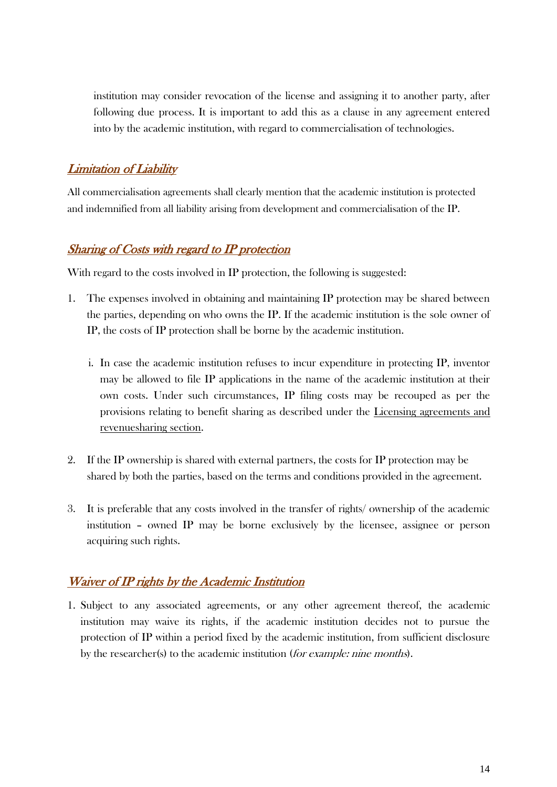institution may consider revocation of the license and assigning it to another party, after following due process. It is important to add this as a clause in any agreement entered into by the academic institution, with regard to commercialisation of technologies.

## Limitation of Liability

All commercialisation agreements shall clearly mention that the academic institution is protected and indemnified from all liability arising from development and commercialisation of the IP.

## Sharing of Costs with regard to IP protection

With regard to the costs involved in IP protection, the following is suggested:

- 1. The expenses involved in obtaining and maintaining IP protection may be shared between the parties, depending on who owns the IP. If the academic institution is the sole owner of IP, the costs of IP protection shall be borne by the academic institution.
	- i. In case the academic institution refuses to incur expenditure in protecting IP, inventor may be allowed to file IP applications in the name of the academic institution at their own costs. Under such circumstances, IP filing costs may be recouped as per the provisions relating to benefit sharing as described under the Licensing agreements and revenuesharing section.
- 2. If the IP ownership is shared with external partners, the costs for IP protection may be shared by both the parties, based on the terms and conditions provided in the agreement.
- 3. It is preferable that any costs involved in the transfer of rights/ ownership of the academic institution – owned IP may be borne exclusively by the licensee, assignee or person acquiring such rights.

## Waiver of IP rights by the Academic Institution

1. Subject to any associated agreements, or any other agreement thereof, the academic institution may waive its rights, if the academic institution decides not to pursue the protection of IP within a period fixed by the academic institution, from sufficient disclosure by the researcher(s) to the academic institution (for example: nine months).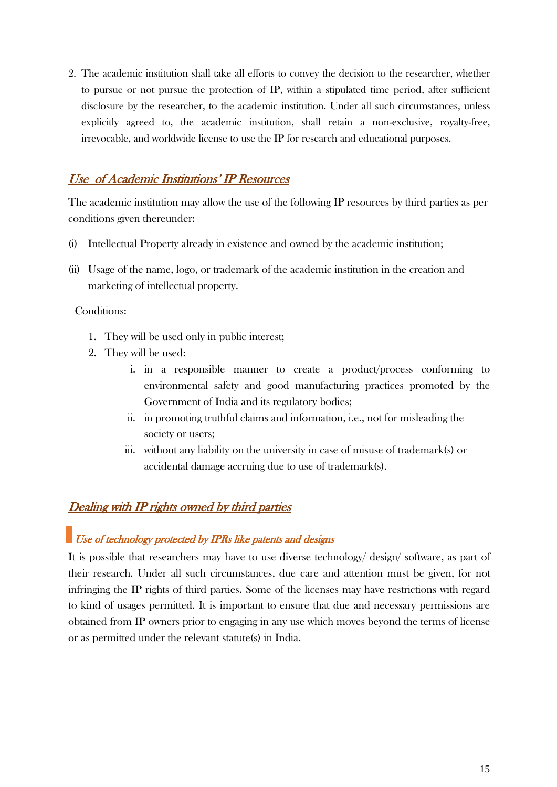2. The academic institution shall take all efforts to convey the decision to the researcher, whether to pursue or not pursue the protection of IP, within a stipulated time period, after sufficient disclosure by the researcher, to the academic institution. Under all such circumstances, unless explicitly agreed to, the academic institution, shall retain a non-exclusive, royalty-free, irrevocable, and worldwide license to use the IP for research and educational purposes.

## Use of Academic Institutions" IP Resources

The academic institution may allow the use of the following IP resources by third parties as per conditions given thereunder:

- (i) Intellectual Property already in existence and owned by the academic institution;
- (ii) Usage of the name, logo, or trademark of the academic institution in the creation and marketing of intellectual property.

#### Conditions:

- 1. They will be used only in public interest;
- 2. They will be used:
	- i. in a responsible manner to create a product/process conforming to environmental safety and good manufacturing practices promoted by the Government of India and its regulatory bodies;
	- ii. in promoting truthful claims and information, i.e., not for misleading the society or users;
	- iii. without any liability on the university in case of misuse of trademark(s) or accidental damage accruing due to use of trademark(s).

## Dealing with IP rights owned by third parties

# Use of technology protected by IPRs like patents and designs

It is possible that researchers may have to use diverse technology/ design/ software, as part of their research. Under all such circumstances, due care and attention must be given, for not infringing the IP rights of third parties. Some of the licenses may have restrictions with regard to kind of usages permitted. It is important to ensure that due and necessary permissions are obtained from IP owners prior to engaging in any use which moves beyond the terms of license or as permitted under the relevant statute(s) in India.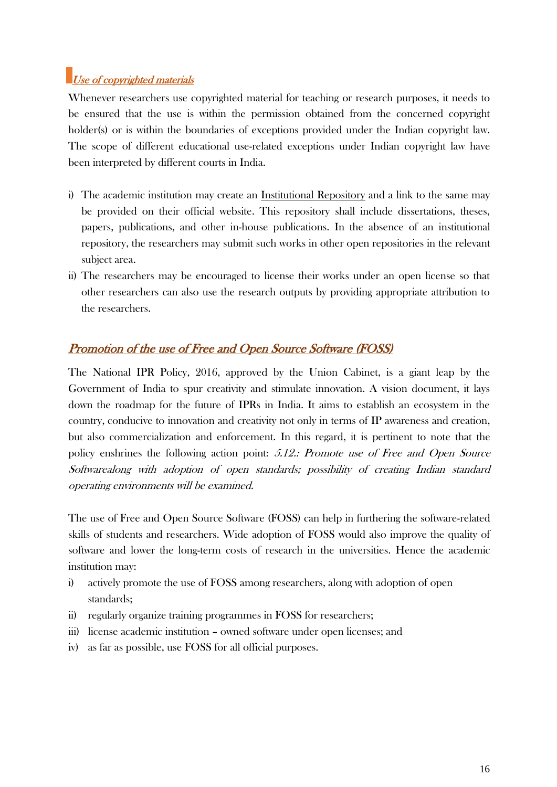## Use of copyrighted materials

Whenever researchers use copyrighted material for teaching or research purposes, it needs to be ensured that the use is within the permission obtained from the concerned copyright holder(s) or is within the boundaries of exceptions provided under the Indian copyright law. The scope of different educational use-related exceptions under Indian copyright law have been interpreted by different courts in India.

- i) The academic institution may create an Institutional Repository and a link to the same may be provided on their official website. This repository shall include dissertations, theses, papers, publications, and other in-house publications. In the absence of an institutional repository, the researchers may submit such works in other open repositories in the relevant subject area.
- ii) The researchers may be encouraged to license their works under an open license so that other researchers can also use the research outputs by providing appropriate attribution to the researchers.

## Promotion of the use of Free and Open Source Software (FOSS)

The National IPR Policy, 2016, approved by the Union Cabinet, is a giant leap by the Government of India to spur creativity and stimulate innovation. A vision document, it lays down the roadmap for the future of IPRs in India. It aims to establish an ecosystem in the country, conducive to innovation and creativity not only in terms of IP awareness and creation, but also commercialization and enforcement. In this regard, it is pertinent to note that the policy enshrines the following action point: 5.12.: Promote use of Free and Open Source Softwarealong with adoption of open standards; possibility of creating Indian standard operating environments will be examined.

The use of Free and Open Source Software (FOSS) can help in furthering the software-related skills of students and researchers. Wide adoption of FOSS would also improve the quality of software and lower the long-term costs of research in the universities. Hence the academic institution may:

- i) actively promote the use of FOSS among researchers, along with adoption of open standards;
- ii) regularly organize training programmes in FOSS for researchers;
- iii) license academic institution owned software under open licenses; and
- iv) as far as possible, use FOSS for all official purposes.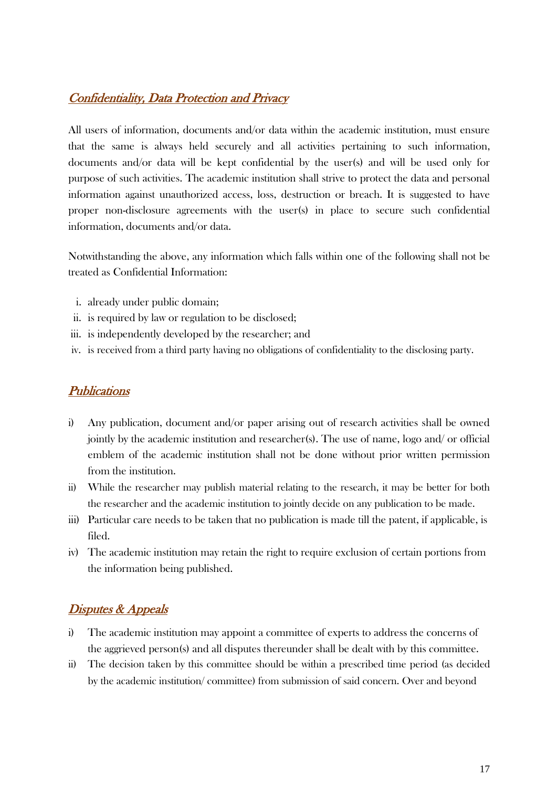## Confidentiality, Data Protection and Privacy

All users of information, documents and/or data within the academic institution, must ensure that the same is always held securely and all activities pertaining to such information, documents and/or data will be kept confidential by the user(s) and will be used only for purpose of such activities. The academic institution shall strive to protect the data and personal information against unauthorized access, loss, destruction or breach. It is suggested to have proper non-disclosure agreements with the user(s) in place to secure such confidential information, documents and/or data.

Notwithstanding the above, any information which falls within one of the following shall not be treated as Confidential Information:

- i. already under public domain;
- ii. is required by law or regulation to be disclosed;
- iii. is independently developed by the researcher; and
- iv. is received from a third party having no obligations of confidentiality to the disclosing party.

#### **Publications**

- i) Any publication, document and/or paper arising out of research activities shall be owned jointly by the academic institution and researcher(s). The use of name, logo and/ or official emblem of the academic institution shall not be done without prior written permission from the institution.
- ii) While the researcher may publish material relating to the research, it may be better for both the researcher and the academic institution to jointly decide on any publication to be made.
- iii) Particular care needs to be taken that no publication is made till the patent, if applicable, is filed.
- iv) The academic institution may retain the right to require exclusion of certain portions from the information being published.

## Disputes & Appeals

- i) The academic institution may appoint a committee of experts to address the concerns of the aggrieved person(s) and all disputes thereunder shall be dealt with by this committee.
- ii) The decision taken by this committee should be within a prescribed time period (as decided by the academic institution/ committee) from submission of said concern. Over and beyond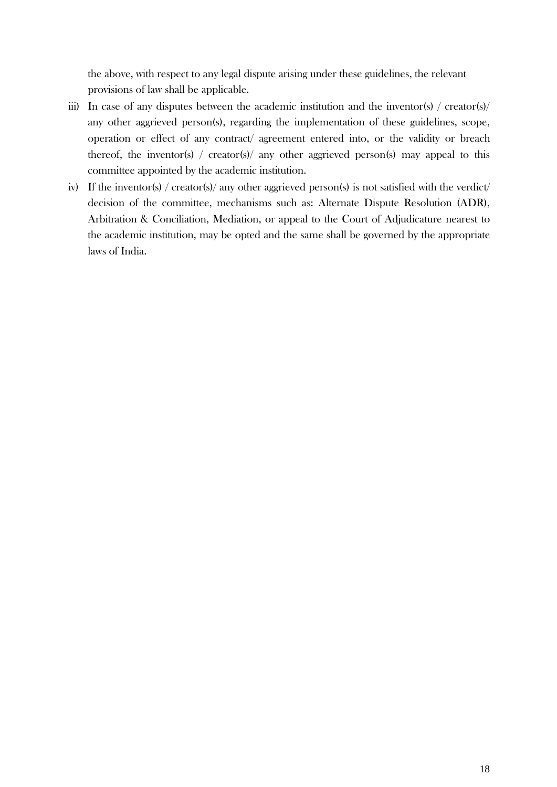the above, with respect to any legal dispute arising under these guidelines, the relevant provisions of law shall be applicable.

- iii) In case of any disputes between the academic institution and the inventor(s) / creator(s)/ any other aggrieved person(s), regarding the implementation of these guidelines, scope, operation or effect of any contract/ agreement entered into, or the validity or breach thereof, the inventor(s) / creator(s)/ any other aggrieved person(s) may appeal to this committee appointed by the academic institution.
- iv) If the inventor(s) / creator(s)/ any other aggrieved person(s) is not satisfied with the verdict/ decision of the committee, mechanisms such as: Alternate Dispute Resolution (ADR), Arbitration & Conciliation, Mediation, or appeal to the Court of Adjudicature nearest to the academic institution, may be opted and the same shall be governed by the appropriate laws of India.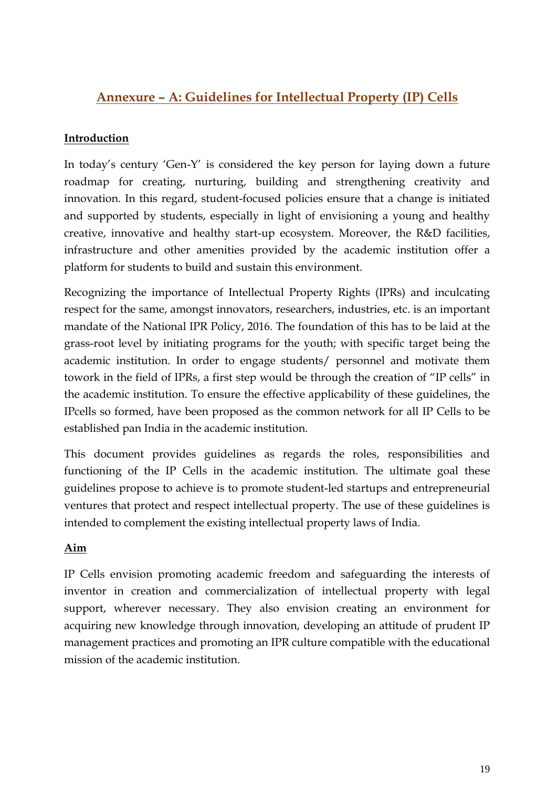## **Annexure – A: Guidelines for Intellectual Property (IP) Cells**

## **Introduction**

In today"s century "Gen-Y" is considered the key person for laying down a future roadmap for creating, nurturing, building and strengthening creativity and innovation. In this regard, student-focused policies ensure that a change is initiated and supported by students, especially in light of envisioning a young and healthy creative, innovative and healthy start-up ecosystem. Moreover, the R&D facilities, infrastructure and other amenities provided by the academic institution offer a platform for students to build and sustain this environment.

Recognizing the importance of Intellectual Property Rights (IPRs) and inculcating respect for the same, amongst innovators, researchers, industries, etc. is an important mandate of the National IPR Policy, 2016. The foundation of this has to be laid at the grass-root level by initiating programs for the youth; with specific target being the academic institution. In order to engage students/ personnel and motivate them towork in the field of IPRs, a first step would be through the creation of "IP cells" in the academic institution. To ensure the effective applicability of these guidelines, the IPcells so formed, have been proposed as the common network for all IP Cells to be established pan India in the academic institution.

This document provides guidelines as regards the roles, responsibilities and functioning of the IP Cells in the academic institution. The ultimate goal these guidelines propose to achieve is to promote student-led startups and entrepreneurial ventures that protect and respect intellectual property. The use of these guidelines is intended to complement the existing intellectual property laws of India.

#### **Aim**

IP Cells envision promoting academic freedom and safeguarding the interests of inventor in creation and commercialization of intellectual property with legal support, wherever necessary. They also envision creating an environment for acquiring new knowledge through innovation, developing an attitude of prudent IP management practices and promoting an IPR culture compatible with the educational mission of the academic institution.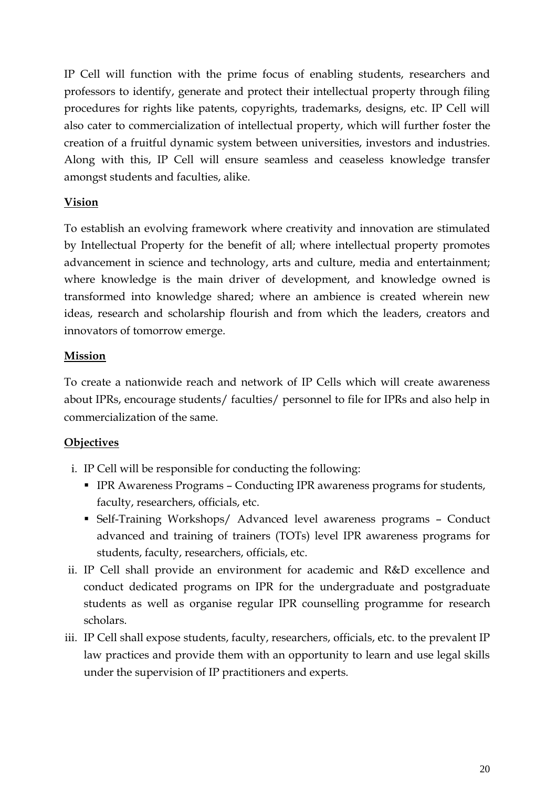IP Cell will function with the prime focus of enabling students, researchers and professors to identify, generate and protect their intellectual property through filing procedures for rights like patents, copyrights, trademarks, designs, etc. IP Cell will also cater to commercialization of intellectual property, which will further foster the creation of a fruitful dynamic system between universities, investors and industries. Along with this, IP Cell will ensure seamless and ceaseless knowledge transfer amongst students and faculties, alike.

## **Vision**

To establish an evolving framework where creativity and innovation are stimulated by Intellectual Property for the benefit of all; where intellectual property promotes advancement in science and technology, arts and culture, media and entertainment; where knowledge is the main driver of development, and knowledge owned is transformed into knowledge shared; where an ambience is created wherein new ideas, research and scholarship flourish and from which the leaders, creators and innovators of tomorrow emerge.

## **Mission**

To create a nationwide reach and network of IP Cells which will create awareness about IPRs, encourage students/ faculties/ personnel to file for IPRs and also help in commercialization of the same.

## **Objectives**

- i. IP Cell will be responsible for conducting the following:
	- IPR Awareness Programs Conducting IPR awareness programs for students, faculty, researchers, officials, etc.
	- Self-Training Workshops/ Advanced level awareness programs Conduct advanced and training of trainers (TOTs) level IPR awareness programs for students, faculty, researchers, officials, etc.
- ii. IP Cell shall provide an environment for academic and R&D excellence and conduct dedicated programs on IPR for the undergraduate and postgraduate students as well as organise regular IPR counselling programme for research scholars.
- iii. IP Cell shall expose students, faculty, researchers, officials, etc. to the prevalent IP law practices and provide them with an opportunity to learn and use legal skills under the supervision of IP practitioners and experts.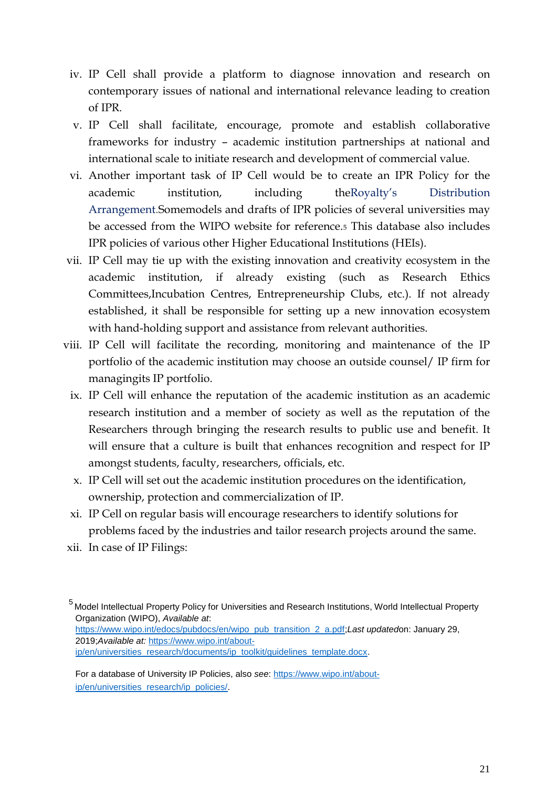- iv. IP Cell shall provide a platform to diagnose innovation and research on contemporary issues of national and international relevance leading to creation of IPR.
- v. IP Cell shall facilitate, encourage, promote and establish collaborative frameworks for industry – academic institution partnerships at national and international scale to initiate research and development of commercial value.
- vi. Another important task of IP Cell would be to create an IPR Policy for the academic institution, including theRoyalty"s Distribution Arrangement.Somemodels and drafts of IPR policies of several universities may be accessed from the WIPO website for reference.<sup>5</sup> This database also includes IPR policies of various other Higher Educational Institutions (HEIs).
- vii. IP Cell may tie up with the existing innovation and creativity ecosystem in the academic institution, if already existing (such as Research Ethics Committees,Incubation Centres, Entrepreneurship Clubs, etc.). If not already established, it shall be responsible for setting up a new innovation ecosystem with hand-holding support and assistance from relevant authorities.
- viii. IP Cell will facilitate the recording, monitoring and maintenance of the IP portfolio of the academic institution may choose an outside counsel/ IP firm for managingits IP portfolio.
	- ix. IP Cell will enhance the reputation of the academic institution as an academic research institution and a member of society as well as the reputation of the Researchers through bringing the research results to public use and benefit. It will ensure that a culture is built that enhances recognition and respect for IP amongst students, faculty, researchers, officials, etc.
	- x. IP Cell will set out the academic institution procedures on the identification, ownership, protection and commercialization of IP.
	- xi. IP Cell on regular basis will encourage researchers to identify solutions for problems faced by the industries and tailor research projects around the same.
- xii. In case of IP Filings:

2019;*Available at:* https://www.wipo.int/about-

ip/en/universities\_research/documents/ip\_toolkit/guidelines\_template.docx.

For a database of University IP Policies, also *see*: https://www.wipo.int/aboutip/en/universities\_research/ip\_policies/.

<sup>5</sup> Model Intellectual Property Policy for Universities and Research Institutions, World Intellectual Property Organization (WIPO), *Available at*: https://www.wipo.int/edocs/pubdocs/en/wipo\_pub\_transition\_2\_a.pdf;*Last updated*on: January 29,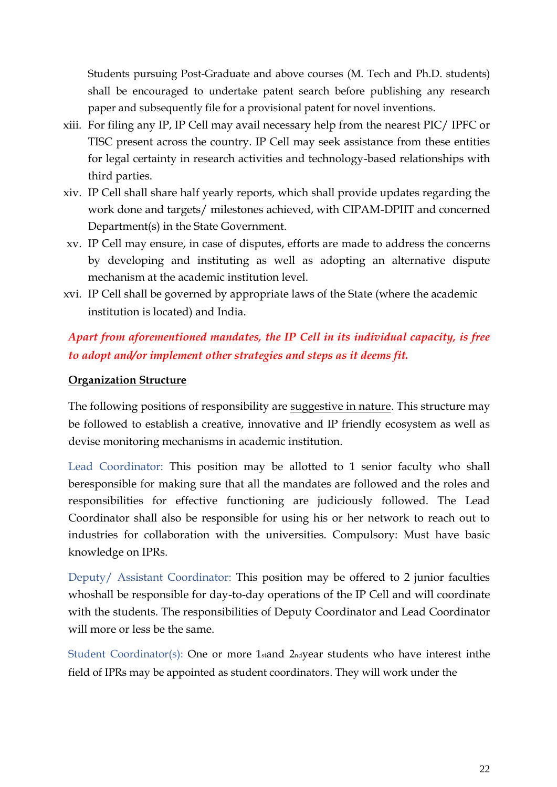Students pursuing Post-Graduate and above courses (M. Tech and Ph.D. students) shall be encouraged to undertake patent search before publishing any research paper and subsequently file for a provisional patent for novel inventions.

- xiii. For filing any IP, IP Cell may avail necessary help from the nearest PIC/ IPFC or TISC present across the country. IP Cell may seek assistance from these entities for legal certainty in research activities and technology-based relationships with third parties.
- xiv. IP Cell shall share half yearly reports, which shall provide updates regarding the work done and targets/ milestones achieved, with CIPAM-DPIIT and concerned Department(s) in the State Government.
- xv. IP Cell may ensure, in case of disputes, efforts are made to address the concerns by developing and instituting as well as adopting an alternative dispute mechanism at the academic institution level.
- xvi. IP Cell shall be governed by appropriate laws of the State (where the academic institution is located) and India.

## *Apart from aforementioned mandates, the IP Cell in its individual capacity, is free to adopt and/or implement other strategies and steps as it deems fit.*

## **Organization Structure**

The following positions of responsibility are suggestive in nature. This structure may be followed to establish a creative, innovative and IP friendly ecosystem as well as devise monitoring mechanisms in academic institution.

Lead Coordinator: This position may be allotted to 1 senior faculty who shall beresponsible for making sure that all the mandates are followed and the roles and responsibilities for effective functioning are judiciously followed. The Lead Coordinator shall also be responsible for using his or her network to reach out to industries for collaboration with the universities. Compulsory: Must have basic knowledge on IPRs.

Deputy/ Assistant Coordinator: This position may be offered to 2 junior faculties whoshall be responsible for day-to-day operations of the IP Cell and will coordinate with the students. The responsibilities of Deputy Coordinator and Lead Coordinator will more or less be the same.

Student Coordinator(s): One or more 1stand 2ndyear students who have interest inthe field of IPRs may be appointed as student coordinators. They will work under the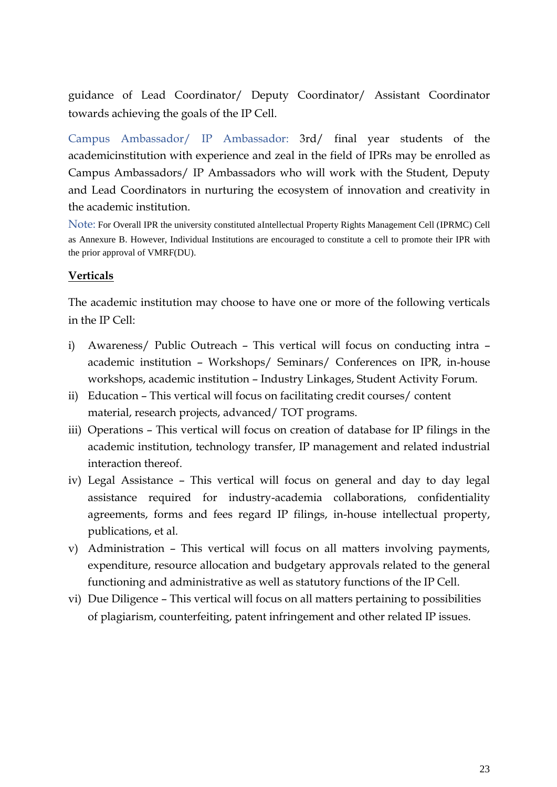guidance of Lead Coordinator/ Deputy Coordinator/ Assistant Coordinator towards achieving the goals of the IP Cell.

Campus Ambassador/ IP Ambassador: 3rd/ final year students of the academicinstitution with experience and zeal in the field of IPRs may be enrolled as Campus Ambassadors/ IP Ambassadors who will work with the Student, Deputy and Lead Coordinators in nurturing the ecosystem of innovation and creativity in the academic institution.

Note: For Overall IPR the university constituted aIntellectual Property Rights Management Cell (IPRMC) Cell as Annexure B. However, Individual Institutions are encouraged to constitute a cell to promote their IPR with the prior approval of VMRF(DU).

## **Verticals**

The academic institution may choose to have one or more of the following verticals in the IP Cell:

- i) Awareness/ Public Outreach This vertical will focus on conducting intra academic institution – Workshops/ Seminars/ Conferences on IPR, in-house workshops, academic institution – Industry Linkages, Student Activity Forum.
- ii) Education This vertical will focus on facilitating credit courses/ content material, research projects, advanced/ TOT programs.
- iii) Operations This vertical will focus on creation of database for IP filings in the academic institution, technology transfer, IP management and related industrial interaction thereof.
- iv) Legal Assistance This vertical will focus on general and day to day legal assistance required for industry-academia collaborations, confidentiality agreements, forms and fees regard IP filings, in-house intellectual property, publications, et al.
- v) Administration This vertical will focus on all matters involving payments, expenditure, resource allocation and budgetary approvals related to the general functioning and administrative as well as statutory functions of the IP Cell.
- vi) Due Diligence This vertical will focus on all matters pertaining to possibilities of plagiarism, counterfeiting, patent infringement and other related IP issues.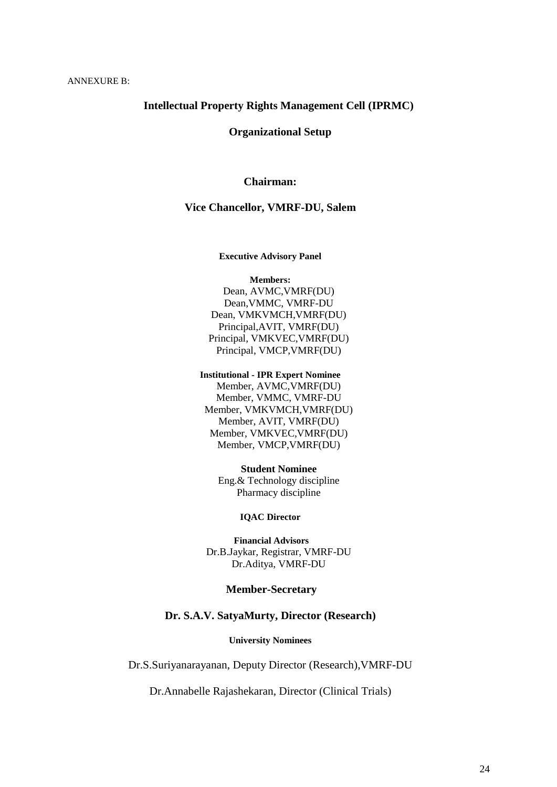#### **Intellectual Property Rights Management Cell (IPRMC)**

**Organizational Setup**

#### **Chairman:**

#### **Vice Chancellor, VMRF-DU, Salem**

#### **Executive Advisory Panel**

**Members:** Dean, AVMC,VMRF(DU) Dean,VMMC, VMRF-DU Dean, VMKVMCH,VMRF(DU) Principal,AVIT, VMRF(DU) Principal, VMKVEC,VMRF(DU) Principal, VMCP,VMRF(DU)

**Institutional - IPR Expert Nominee**  Member, AVMC,VMRF(DU) Member, VMMC, VMRF-DU Member, VMKVMCH,VMRF(DU) Member, AVIT, VMRF(DU) Member, VMKVEC,VMRF(DU) Member, VMCP,VMRF(DU)

> **Student Nominee** Eng.& Technology discipline Pharmacy discipline

> > **IQAC Director**

**Financial Advisors** Dr.B.Jaykar, Registrar, VMRF-DU Dr.Aditya, VMRF-DU

#### **Member-Secretary**

#### **Dr. S.A.V. SatyaMurty, Director (Research)**

**University Nominees**

Dr.S.Suriyanarayanan, Deputy Director (Research),VMRF-DU

Dr.Annabelle Rajashekaran, Director (Clinical Trials)